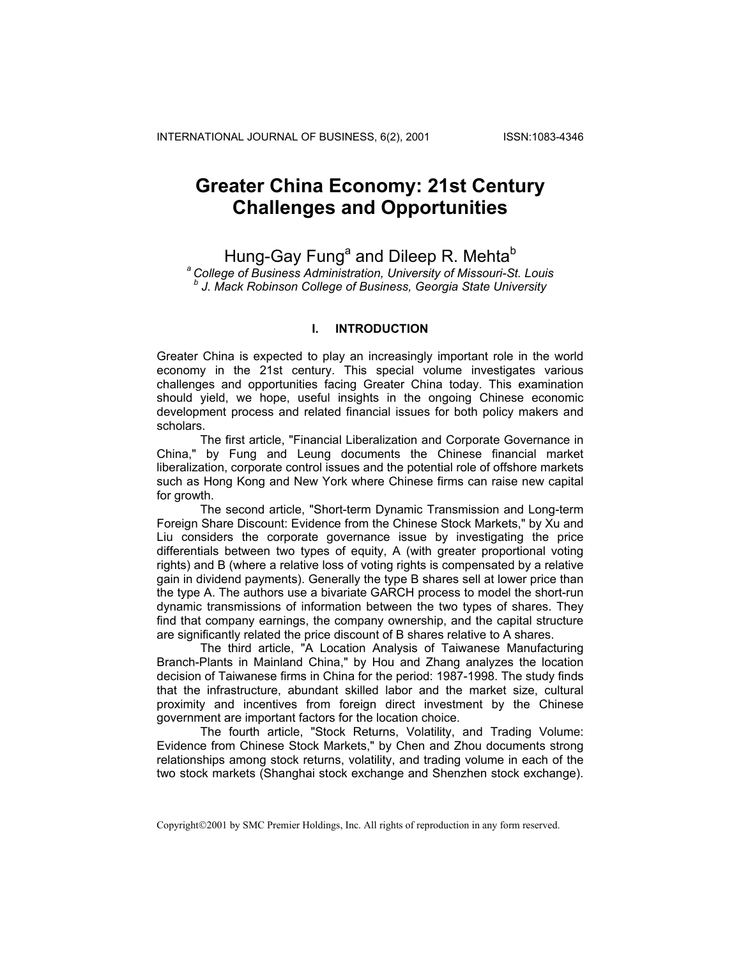## **Greater China Economy: 21st Century Challenges and Opportunities**

Hung-Gay Fung<sup>a</sup> and Dileep R. Mehta<sup>b</sup>

*a College of Business Administration, University of Missouri-St. Louis b J. Mack Robinson College of Business, Georgia State University* 

## **I. INTRODUCTION**

Greater China is expected to play an increasingly important role in the world economy in the 21st century. This special volume investigates various challenges and opportunities facing Greater China today. This examination should yield, we hope, useful insights in the ongoing Chinese economic development process and related financial issues for both policy makers and scholars.

The first article, "Financial Liberalization and Corporate Governance in China," by Fung and Leung documents the Chinese financial market liberalization, corporate control issues and the potential role of offshore markets such as Hong Kong and New York where Chinese firms can raise new capital for growth.

The second article, "Short-term Dynamic Transmission and Long-term Foreign Share Discount: Evidence from the Chinese Stock Markets," by Xu and Liu considers the corporate governance issue by investigating the price differentials between two types of equity, A (with greater proportional voting rights) and B (where a relative loss of voting rights is compensated by a relative gain in dividend payments). Generally the type B shares sell at lower price than the type A. The authors use a bivariate GARCH process to model the short-run dynamic transmissions of information between the two types of shares. They find that company earnings, the company ownership, and the capital structure are significantly related the price discount of B shares relative to A shares.

The third article, "A Location Analysis of Taiwanese Manufacturing Branch-Plants in Mainland China," by Hou and Zhang analyzes the location decision of Taiwanese firms in China for the period: 1987-1998. The study finds that the infrastructure, abundant skilled labor and the market size, cultural proximity and incentives from foreign direct investment by the Chinese government are important factors for the location choice.

The fourth article, "Stock Returns, Volatility, and Trading Volume: Evidence from Chinese Stock Markets," by Chen and Zhou documents strong relationships among stock returns, volatility, and trading volume in each of the two stock markets (Shanghai stock exchange and Shenzhen stock exchange).

Copyright©2001 by SMC Premier Holdings, Inc. All rights of reproduction in any form reserved.